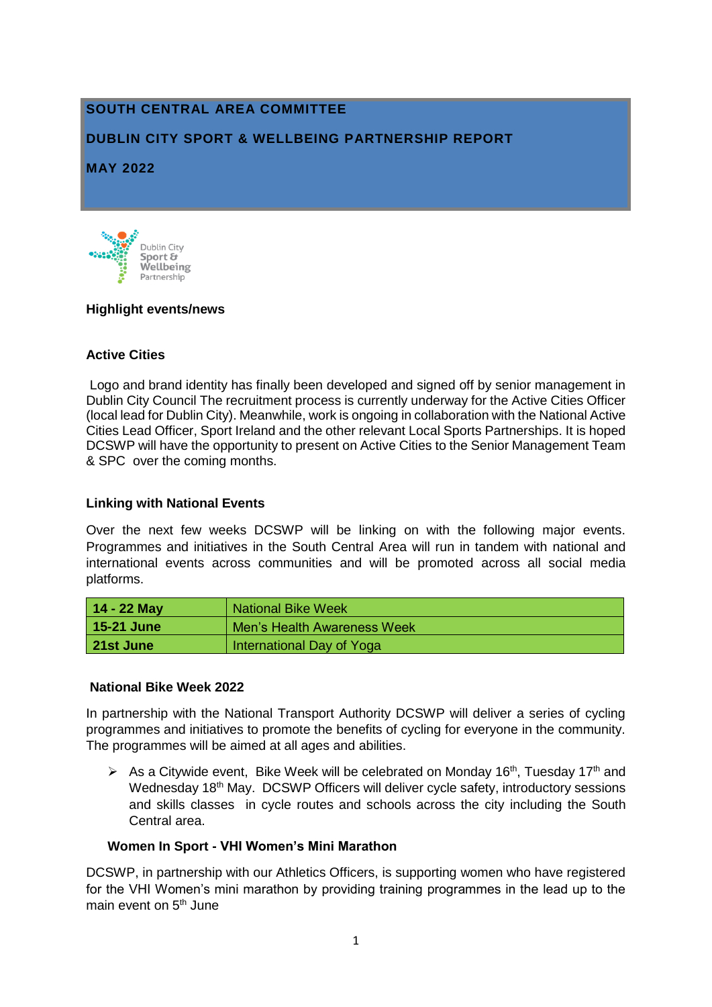# **SOUTH CENTRAL AREA COMMITTEE**

## **DUBLIN CITY SPORT & WELLBEING PARTNERSHIP REPORT**

**MAY 2022**



## **Highlight events/news**

## **Active Cities**

Logo and brand identity has finally been developed and signed off by senior management in Dublin City Council The recruitment process is currently underway for the Active Cities Officer (local lead for Dublin City). Meanwhile, work is ongoing in collaboration with the National Active Cities Lead Officer, Sport Ireland and the other relevant Local Sports Partnerships. It is hoped DCSWP will have the opportunity to present on Active Cities to the Senior Management Team & SPC over the coming months.

## **Linking with National Events**

Over the next few weeks DCSWP will be linking on with the following major events. Programmes and initiatives in the South Central Area will run in tandem with national and international events across communities and will be promoted across all social media platforms.

| $14 - 22$ May | <b>National Bike Week</b>   |
|---------------|-----------------------------|
| 15-21 June    | Men's Health Awareness Week |
| 21st June     | International Day of Yoga   |

## **National Bike Week 2022**

In partnership with the National Transport Authority DCSWP will deliver a series of cycling programmes and initiatives to promote the benefits of cycling for everyone in the community. The programmes will be aimed at all ages and abilities.

As a Citywide event, Bike Week will be celebrated on Monday 16<sup>th</sup>, Tuesday 17<sup>th</sup> and Wednesday 18<sup>th</sup> May. DCSWP Officers will deliver cycle safety, introductory sessions and skills classes in cycle routes and schools across the city including the South Central area.

## **Women In Sport - VHI Women's Mini Marathon**

DCSWP, in partnership with our Athletics Officers, is supporting women who have registered for the VHI Women's mini marathon by providing training programmes in the lead up to the main event on 5<sup>th</sup> June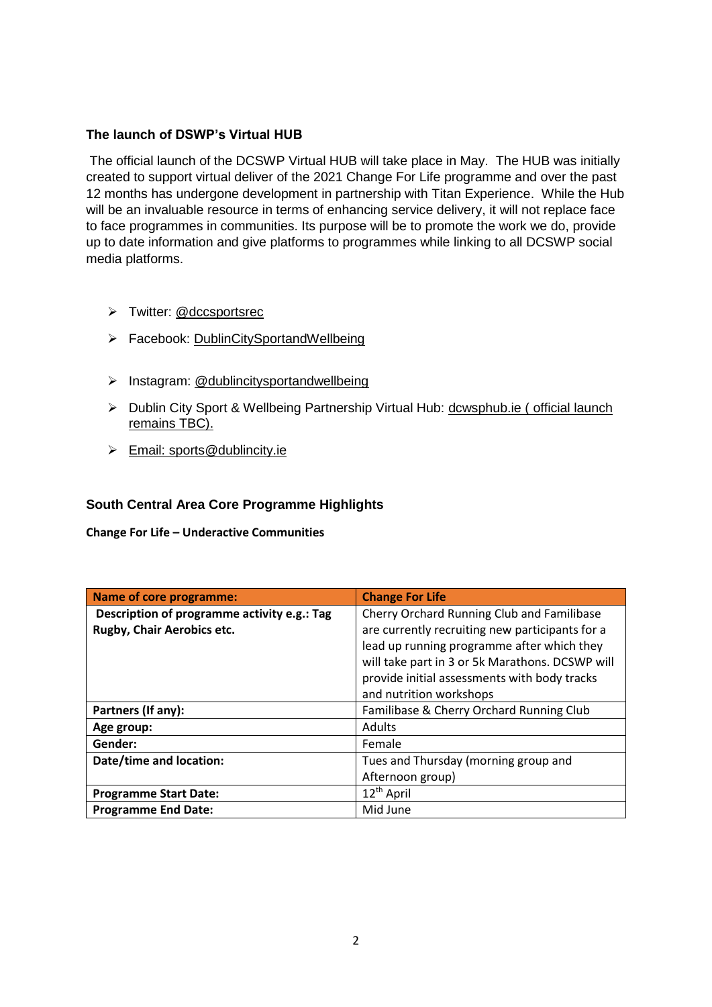## **The launch of DSWP's Virtual HUB**

The official launch of the DCSWP Virtual HUB will take place in May. The HUB was initially created to support virtual deliver of the 2021 Change For Life programme and over the past 12 months has undergone development in partnership with Titan Experience. While the Hub will be an invaluable resource in terms of enhancing service delivery, it will not replace face to face programmes in communities. Its purpose will be to promote the work we do, provide up to date information and give platforms to programmes while linking to all DCSWP social media platforms.

- > Twitter: @dccsportsrec
- Facebook: [DublinCitySportandWellbeing](https://www.facebook.com/DublinCitySportandWellbeingPartnership/)
- $\triangleright$  Instagram: @dublincitysportandwellbeing
- Dublin City Sport & Wellbeing Partnership Virtual Hub: [dcwsphub.ie](http://www.dcswphub.ie/) ( official launch remains TBC).
- Email: [sports@dublincity.ie](file://///dccdata/cande/Shared/EandC/Sport%20&%20Wellbeing%20Partnership/Communications/Area%20Committee%20Reports/Reporting%202022/South%20East%20Area/sports@dublincity.ie)

## **South Central Area Core Programme Highlights**

**Change For Life – Underactive Communities**

| <b>Name of core programme:</b>              | <b>Change For Life</b>                          |
|---------------------------------------------|-------------------------------------------------|
| Description of programme activity e.g.: Tag | Cherry Orchard Running Club and Familibase      |
| Rugby, Chair Aerobics etc.                  | are currently recruiting new participants for a |
|                                             | lead up running programme after which they      |
|                                             | will take part in 3 or 5k Marathons. DCSWP will |
|                                             | provide initial assessments with body tracks    |
|                                             | and nutrition workshops                         |
| Partners (If any):                          | Familibase & Cherry Orchard Running Club        |
| Age group:                                  | <b>Adults</b>                                   |
| Gender:                                     | Female                                          |
| Date/time and location:                     | Tues and Thursday (morning group and            |
|                                             | Afternoon group)                                |
| <b>Programme Start Date:</b>                | 12 <sup>th</sup> April                          |
| <b>Programme End Date:</b>                  | Mid June                                        |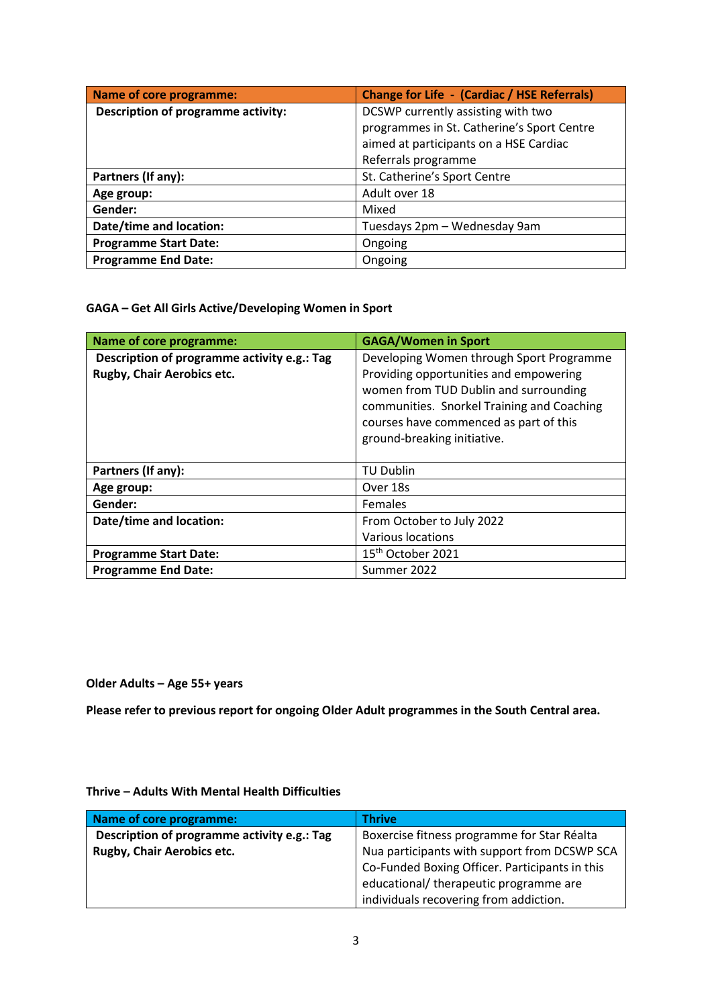| <b>Name of core programme:</b>            | <b>Change for Life - (Cardiac / HSE Referrals)</b> |
|-------------------------------------------|----------------------------------------------------|
| <b>Description of programme activity:</b> | DCSWP currently assisting with two                 |
|                                           | programmes in St. Catherine's Sport Centre         |
|                                           | aimed at participants on a HSE Cardiac             |
|                                           | Referrals programme                                |
| Partners (If any):                        | St. Catherine's Sport Centre                       |
| Age group:                                | Adult over 18                                      |
| Gender:                                   | Mixed                                              |
| Date/time and location:                   | Tuesdays 2pm - Wednesday 9am                       |
| <b>Programme Start Date:</b>              | Ongoing                                            |
| <b>Programme End Date:</b>                | Ongoing                                            |

### **GAGA – Get All Girls Active/Developing Women in Sport**

| <b>Name of core programme:</b>                                            | <b>GAGA/Women in Sport</b>                                                                                                                                                                                                                         |
|---------------------------------------------------------------------------|----------------------------------------------------------------------------------------------------------------------------------------------------------------------------------------------------------------------------------------------------|
| Description of programme activity e.g.: Tag<br>Rugby, Chair Aerobics etc. | Developing Women through Sport Programme<br>Providing opportunities and empowering<br>women from TUD Dublin and surrounding<br>communities. Snorkel Training and Coaching<br>courses have commenced as part of this<br>ground-breaking initiative. |
| Partners (If any):                                                        | <b>TU Dublin</b>                                                                                                                                                                                                                                   |
| Age group:                                                                | Over 18s                                                                                                                                                                                                                                           |
| Gender:                                                                   | <b>Females</b>                                                                                                                                                                                                                                     |
| Date/time and location:                                                   | From October to July 2022                                                                                                                                                                                                                          |
|                                                                           | Various locations                                                                                                                                                                                                                                  |
| <b>Programme Start Date:</b>                                              | 15 <sup>th</sup> October 2021                                                                                                                                                                                                                      |
| <b>Programme End Date:</b>                                                | Summer 2022                                                                                                                                                                                                                                        |

**Older Adults – Age 55+ years**

**Please refer to previous report for ongoing Older Adult programmes in the South Central area.** 

#### **Thrive – Adults With Mental Health Difficulties**

| Name of core programme:                     | <b>Thrive</b>                                  |
|---------------------------------------------|------------------------------------------------|
| Description of programme activity e.g.: Tag | Boxercise fitness programme for Star Réalta    |
| <b>Rugby, Chair Aerobics etc.</b>           | Nua participants with support from DCSWP SCA   |
|                                             | Co-Funded Boxing Officer. Participants in this |
|                                             | educational/ therapeutic programme are         |
|                                             | individuals recovering from addiction.         |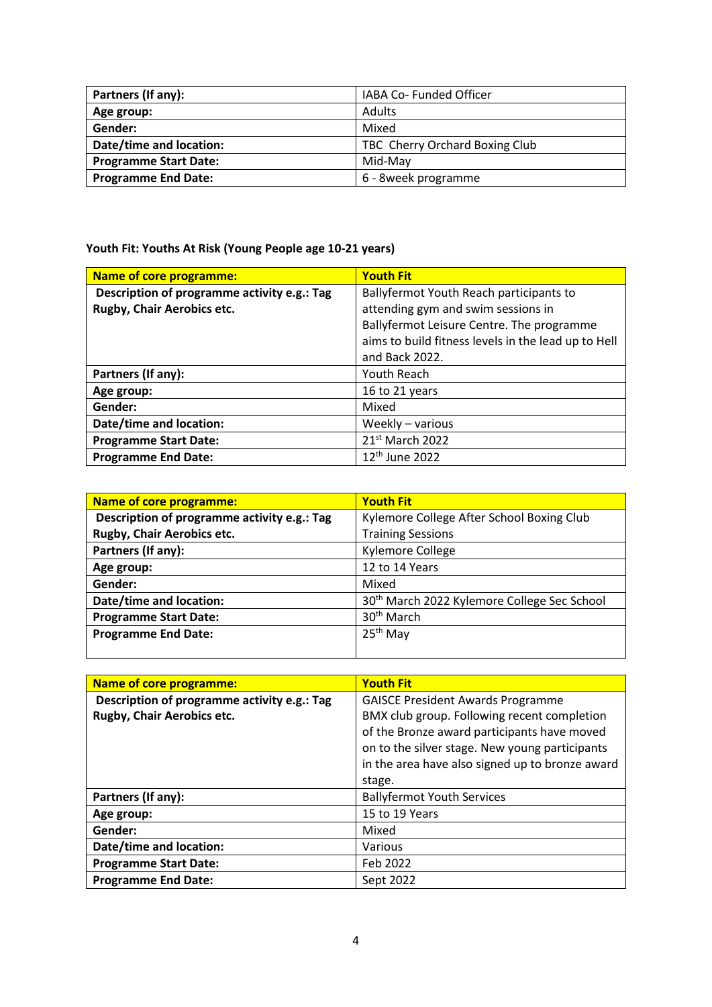| Partners (If any):           | IABA Co- Funded Officer        |
|------------------------------|--------------------------------|
| Age group:                   | <b>Adults</b>                  |
| Gender:                      | Mixed                          |
| Date/time and location:      | TBC Cherry Orchard Boxing Club |
| <b>Programme Start Date:</b> | Mid-May                        |
| <b>Programme End Date:</b>   | 6 - 8week programme            |

**Youth Fit: Youths At Risk (Young People age 10-21 years)**

| Name of core programme:                     | <b>Youth Fit</b>                                    |
|---------------------------------------------|-----------------------------------------------------|
| Description of programme activity e.g.: Tag | Ballyfermot Youth Reach participants to             |
| Rugby, Chair Aerobics etc.                  | attending gym and swim sessions in                  |
|                                             | Ballyfermot Leisure Centre. The programme           |
|                                             | aims to build fitness levels in the lead up to Hell |
|                                             | and Back 2022.                                      |
| Partners (If any):                          | Youth Reach                                         |
| Age group:                                  | 16 to 21 years                                      |
| Gender:                                     | Mixed                                               |
| Date/time and location:                     | Weekly - various                                    |
| <b>Programme Start Date:</b>                | 21 <sup>st</sup> March 2022                         |
| <b>Programme End Date:</b>                  | 12 <sup>th</sup> June 2022                          |

| <b>Name of core programme:</b>              | <b>Youth Fit</b>                                        |
|---------------------------------------------|---------------------------------------------------------|
| Description of programme activity e.g.: Tag | Kylemore College After School Boxing Club               |
| Rugby, Chair Aerobics etc.                  | <b>Training Sessions</b>                                |
| Partners (If any):                          | Kylemore College                                        |
| Age group:                                  | 12 to 14 Years                                          |
| Gender:                                     | Mixed                                                   |
| Date/time and location:                     | 30 <sup>th</sup> March 2022 Kylemore College Sec School |
| <b>Programme Start Date:</b>                | 30 <sup>th</sup> March                                  |
| <b>Programme End Date:</b>                  | 25 <sup>th</sup> May                                    |
|                                             |                                                         |

| Name of core programme:                     | <b>Youth Fit</b>                                |
|---------------------------------------------|-------------------------------------------------|
| Description of programme activity e.g.: Tag | <b>GAISCE President Awards Programme</b>        |
| Rugby, Chair Aerobics etc.                  | BMX club group. Following recent completion     |
|                                             | of the Bronze award participants have moved     |
|                                             | on to the silver stage. New young participants  |
|                                             | in the area have also signed up to bronze award |
|                                             | stage.                                          |
| Partners (If any):                          | <b>Ballyfermot Youth Services</b>               |
| Age group:                                  | 15 to 19 Years                                  |
| Gender:                                     | Mixed                                           |
| Date/time and location:                     | Various                                         |
| <b>Programme Start Date:</b>                | Feb 2022                                        |
| <b>Programme End Date:</b>                  | Sept 2022                                       |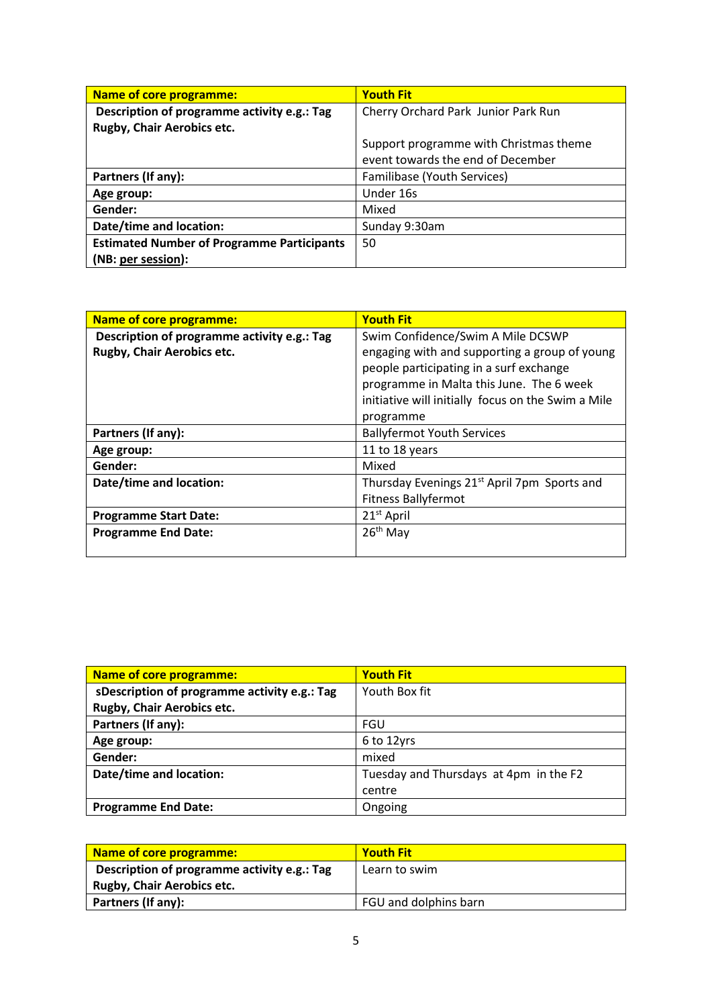| Name of core programme:                           | <b>Youth Fit</b>                       |
|---------------------------------------------------|----------------------------------------|
| Description of programme activity e.g.: Tag       | Cherry Orchard Park Junior Park Run    |
| Rugby, Chair Aerobics etc.                        |                                        |
|                                                   | Support programme with Christmas theme |
|                                                   | event towards the end of December      |
| Partners (If any):                                | Familibase (Youth Services)            |
| Age group:                                        | Under 16s                              |
| Gender:                                           | Mixed                                  |
| Date/time and location:                           | Sunday 9:30am                          |
| <b>Estimated Number of Programme Participants</b> | 50                                     |
| (NB: per session):                                |                                        |

| <b>Name of core programme:</b>              | <b>Youth Fit</b>                                        |
|---------------------------------------------|---------------------------------------------------------|
| Description of programme activity e.g.: Tag | Swim Confidence/Swim A Mile DCSWP                       |
| Rugby, Chair Aerobics etc.                  | engaging with and supporting a group of young           |
|                                             | people participating in a surf exchange                 |
|                                             | programme in Malta this June. The 6 week                |
|                                             | initiative will initially focus on the Swim a Mile      |
|                                             | programme                                               |
| Partners (If any):                          | <b>Ballyfermot Youth Services</b>                       |
| Age group:                                  | 11 to 18 years                                          |
| Gender:                                     | Mixed                                                   |
| Date/time and location:                     | Thursday Evenings 21 <sup>st</sup> April 7pm Sports and |
|                                             | <b>Fitness Ballyfermot</b>                              |
| <b>Programme Start Date:</b>                | 21 <sup>st</sup> April                                  |
| <b>Programme End Date:</b>                  | $26th$ May                                              |
|                                             |                                                         |

| Name of core programme:                      | <b>Youth Fit</b>                       |
|----------------------------------------------|----------------------------------------|
| sDescription of programme activity e.g.: Tag | Youth Box fit                          |
| Rugby, Chair Aerobics etc.                   |                                        |
| Partners (If any):                           | FGU                                    |
| Age group:                                   | 6 to 12yrs                             |
| Gender:                                      | mixed                                  |
| Date/time and location:                      | Tuesday and Thursdays at 4pm in the F2 |
|                                              | centre                                 |
| <b>Programme End Date:</b>                   | Ongoing                                |

| Name of core programme:                     | <b>Youth Fit</b>      |
|---------------------------------------------|-----------------------|
| Description of programme activity e.g.: Tag | Learn to swim         |
| <b>Rugby, Chair Aerobics etc.</b>           |                       |
| Partners (If any):                          | FGU and dolphins barn |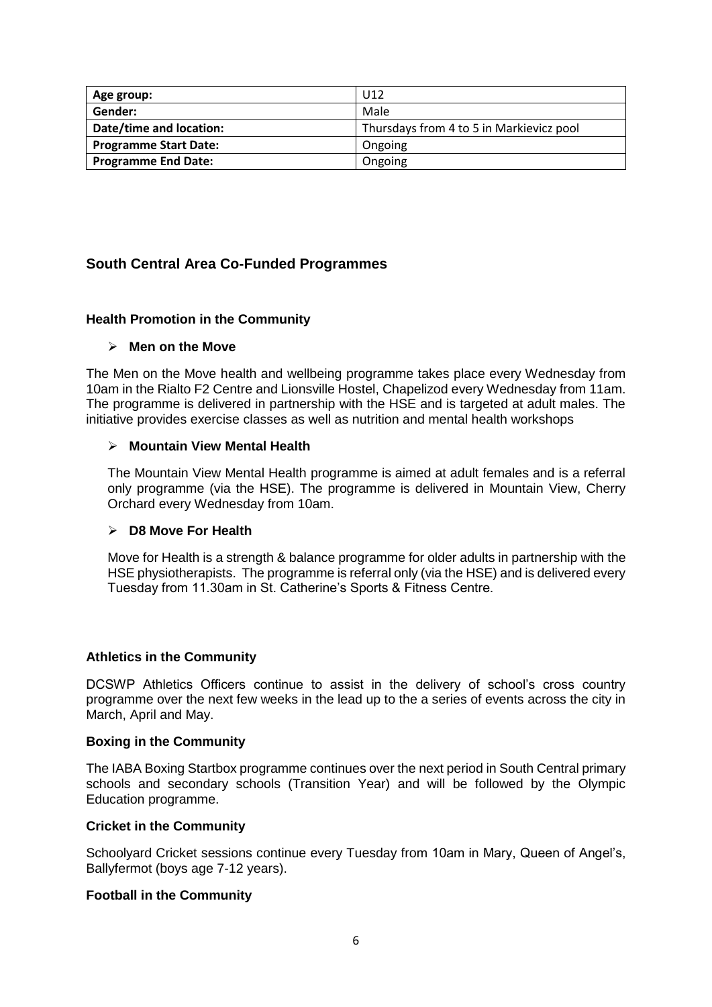| Age group:                   | U <sub>12</sub>                          |
|------------------------------|------------------------------------------|
| Gender:                      | Male                                     |
| Date/time and location:      | Thursdays from 4 to 5 in Markievicz pool |
| <b>Programme Start Date:</b> | Ongoing                                  |
| <b>Programme End Date:</b>   | Ongoing                                  |

## **South Central Area Co-Funded Programmes**

## **Health Promotion in the Community**

#### **Men on the Move**

The Men on the Move health and wellbeing programme takes place every Wednesday from 10am in the Rialto F2 Centre and Lionsville Hostel, Chapelizod every Wednesday from 11am. The programme is delivered in partnership with the HSE and is targeted at adult males. The initiative provides exercise classes as well as nutrition and mental health workshops

#### **Mountain View Mental Health**

The Mountain View Mental Health programme is aimed at adult females and is a referral only programme (via the HSE). The programme is delivered in Mountain View, Cherry Orchard every Wednesday from 10am.

#### **D8 Move For Health**

Move for Health is a strength & balance programme for older adults in partnership with the HSE physiotherapists. The programme is referral only (via the HSE) and is delivered every Tuesday from 11.30am in St. Catherine's Sports & Fitness Centre.

## **Athletics in the Community**

DCSWP Athletics Officers continue to assist in the delivery of school's cross country programme over the next few weeks in the lead up to the a series of events across the city in March, April and May.

#### **Boxing in the Community**

The IABA Boxing Startbox programme continues over the next period in South Central primary schools and secondary schools (Transition Year) and will be followed by the Olympic Education programme.

#### **Cricket in the Community**

Schoolyard Cricket sessions continue every Tuesday from 10am in Mary, Queen of Angel's, Ballyfermot (boys age 7-12 years).

## **Football in the Community**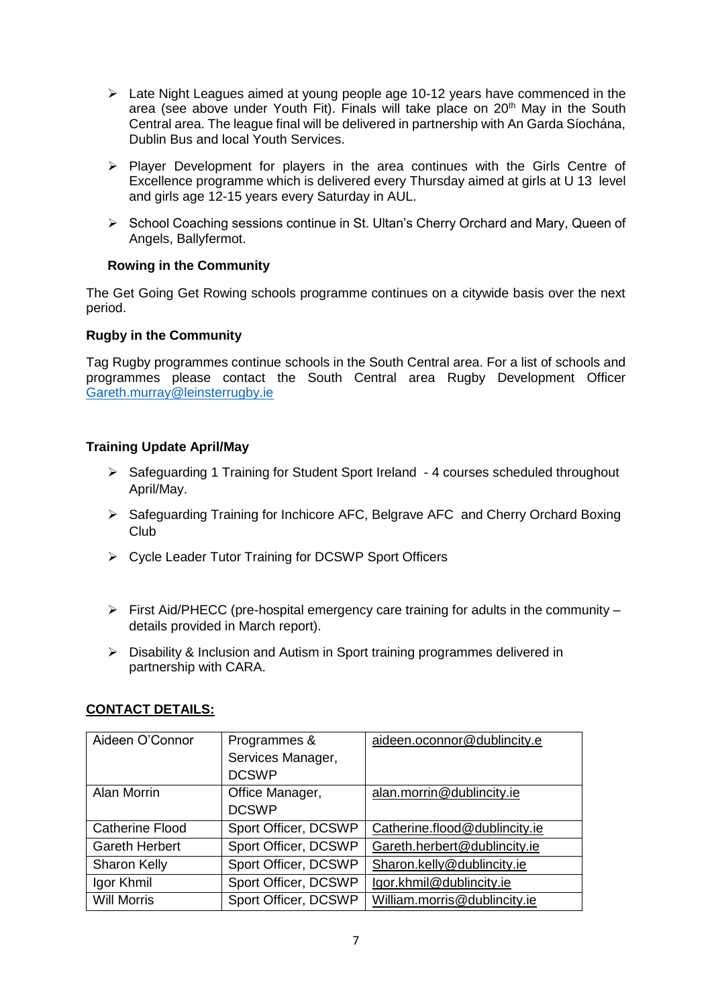- $\triangleright$  Late Night Leagues aimed at young people age 10-12 years have commenced in the area (see above under Youth Fit). Finals will take place on 20<sup>th</sup> May in the South Central area. The league final will be delivered in partnership with An Garda Síochána, Dublin Bus and local Youth Services.
- $\triangleright$  Player Development for players in the area continues with the Girls Centre of Excellence programme which is delivered every Thursday aimed at girls at U 13 level and girls age 12-15 years every Saturday in AUL.
- $\triangleright$  School Coaching sessions continue in St. Ultan's Cherry Orchard and Mary, Queen of Angels, Ballyfermot.

## **Rowing in the Community**

The Get Going Get Rowing schools programme continues on a citywide basis over the next period.

## **Rugby in the Community**

Tag Rugby programmes continue schools in the South Central area. For a list of schools and programmes please contact the South Central area Rugby Development Officer [Gareth.murray@leinsterrugby.ie](file:///C:/Users/50580/AppData/Local/Microsoft/Windows/Temporary%20Internet%20Files/Content.Outlook/3UDIAA9R/Gareth.murray@leinsterrugby.ie)

## **Training Update April/May**

- $\triangleright$  Safeguarding 1 Training for Student Sport Ireland 4 courses scheduled throughout April/May.
- Safeguarding Training for Inchicore AFC, Belgrave AFC and Cherry Orchard Boxing Club
- Cycle Leader Tutor Training for DCSWP Sport Officers
- $\triangleright$  First Aid/PHECC (pre-hospital emergency care training for adults in the community details provided in March report).
- Disability & Inclusion and Autism in Sport training programmes delivered in partnership with CARA.

## **CONTACT DETAILS:**

| Aideen O'Connor        | Programmes &         | aideen.oconnor@dublincity.e   |
|------------------------|----------------------|-------------------------------|
|                        | Services Manager,    |                               |
|                        | <b>DCSWP</b>         |                               |
| Alan Morrin            | Office Manager,      | alan.morrin@dublincity.ie     |
|                        | <b>DCSWP</b>         |                               |
| <b>Catherine Flood</b> | Sport Officer, DCSWP | Catherine.flood@dublincity.ie |
| <b>Gareth Herbert</b>  | Sport Officer, DCSWP | Gareth.herbert@dublincity.ie  |
| <b>Sharon Kelly</b>    | Sport Officer, DCSWP | Sharon.kelly@dublincity.ie    |
| Igor Khmil             | Sport Officer, DCSWP | Igor.khmil@dublincity.ie      |
| <b>Will Morris</b>     | Sport Officer, DCSWP | William.morris@dublincity.ie  |